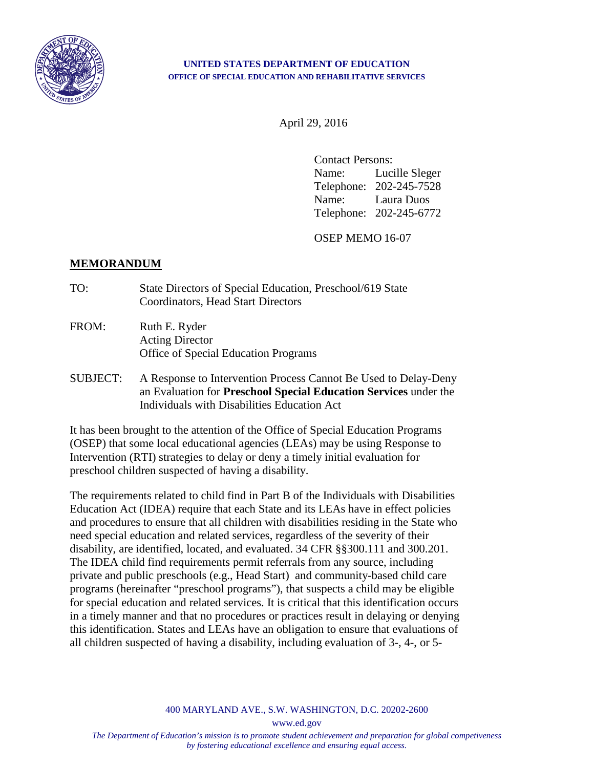

## **UNITED STATES DEPARTMENT OF EDUCATION OFFICE OF SPECIAL EDUCATION AND REHABILITATIVE SERVICES**

April 29, 2016

Contact Persons: Name: Lucille Sleger Telephone: 202-245-7528 Name: Laura Duos Telephone: 202-245-6772

OSEP MEMO 16-07

## **MEMORANDUM**

- TO: State Directors of Special Education, Preschool/619 State Coordinators, Head Start Directors
- FROM: Ruth E. Ryder Acting Director Office of Special Education Programs
- SUBJECT: A Response to Intervention Process Cannot Be Used to Delay-Deny an Evaluation for **Preschool Special Education Services** under the Individuals with Disabilities Education Act

It has been brought to the attention of the Office of Special Education Programs (OSEP) that some local educational agencies (LEAs) may be using Response to Intervention (RTI) strategies to delay or deny a timely initial evaluation for preschool children suspected of having a disability.

The requirements related to child find in Part B of the Individuals with Disabilities Education Act (IDEA) require that each State and its LEAs have in effect policies and procedures to ensure that all children with disabilities residing in the State who need special education and related services, regardless of the severity of their disability, are identified, located, and evaluated. 34 CFR §§300.111 and 300.201. The IDEA child find requirements permit referrals from any source, including private and public preschools (e.g., Head Start) and community-based child care programs (hereinafter "preschool programs"), that suspects a child may be eligible for special education and related services. It is critical that this identification occurs in a timely manner and that no procedures or practices result in delaying or denying this identification. States and LEAs have an obligation to ensure that evaluations of all children suspected of having a disability, including evaluation of 3-, 4-, or 5-

400 MARYLAND AVE., S.W. WASHINGTON, D.C. 20202-2600

www.ed.gov

*The Department of Education's mission is to promote student achievement and preparation for global competiveness by fostering educational excellence and ensuring equal access.*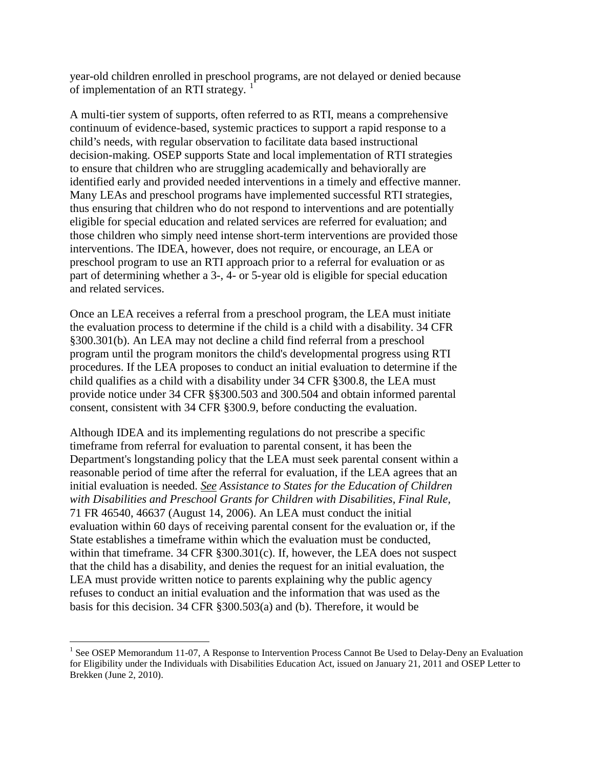year-old children enrolled in preschool programs, are not delayed or denied because of implementation of an RTI strategy.  $1$ 

A multi-tier system of supports, often referred to as RTI, means a comprehensive continuum of evidence-based, systemic practices to support a rapid response to a child's needs, with regular observation to facilitate data based instructional decision-making. OSEP supports State and local implementation of RTI strategies to ensure that children who are struggling academically and behaviorally are identified early and provided needed interventions in a timely and effective manner. Many LEAs and preschool programs have implemented successful RTI strategies, thus ensuring that children who do not respond to interventions and are potentially eligible for special education and related services are referred for evaluation; and those children who simply need intense short-term interventions are provided those interventions. The IDEA, however, does not require, or encourage, an LEA or preschool program to use an RTI approach prior to a referral for evaluation or as part of determining whether a 3-, 4- or 5-year old is eligible for special education and related services.

Once an LEA receives a referral from a preschool program, the LEA must initiate the evaluation process to determine if the child is a child with a disability. 34 CFR §300.301(b). An LEA may not decline a child find referral from a preschool program until the program monitors the child's developmental progress using RTI procedures. If the LEA proposes to conduct an initial evaluation to determine if the child qualifies as a child with a disability under 34 CFR §300.8, the LEA must provide notice under 34 CFR §§300.503 and 300.504 and obtain informed parental consent, consistent with 34 CFR §300.9, before conducting the evaluation.

Although IDEA and its implementing regulations do not prescribe a specific timeframe from referral for evaluation to parental consent, it has been the Department's longstanding policy that the LEA must seek parental consent within a reasonable period of time after the referral for evaluation, if the LEA agrees that an initial evaluation is needed. *See Assistance to States for the Education of Children with Disabilities and Preschool Grants for Children with Disabilities, Final Rule,*  71 FR 46540, 46637 (August 14, 2006). An LEA must conduct the initial evaluation within 60 days of receiving parental consent for the evaluation or, if the State establishes a timeframe within which the evaluation must be conducted, within that timeframe.  $34$  CFR  $\S 300.301(c)$ . If, however, the LEA does not suspect that the child has a disability, and denies the request for an initial evaluation, the LEA must provide written notice to parents explaining why the public agency refuses to conduct an initial evaluation and the information that was used as the basis for this decision. 34 CFR §300.503(a) and (b). Therefore, it would be

 $\overline{a}$ 

<span id="page-1-0"></span><sup>&</sup>lt;sup>1</sup> See OSEP Memorandum 11-07, A Response to Intervention Process Cannot Be Used to Delay-Deny an Evaluation for Eligibility under the Individuals with Disabilities Education Act, issued on January 21, 2011 and OSEP Letter to Brekken (June 2, 2010).